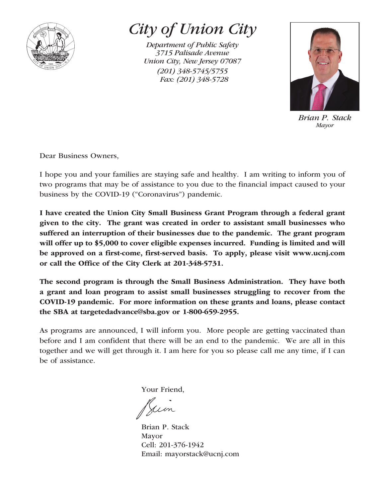

## *City of Union City*

*Department of Public Safety 3715 Palisade Avenue Union City, New Jersey 07087 (201) 348-5745/5755 Fax: (201) 348-5728*



*Brian P. Stack Mayor*

Dear Business Owners,

I hope you and your families are staying safe and healthy. I am writing to inform you of two programs that may be of assistance to you due to the financial impact caused to your business by the COVID-19 ("Coronavirus") pandemic.

I have created the Union City Small Business Grant Program through a federal grant given to the city. The grant was created in order to assistant small businesses who suffered an interruption of their businesses due to the pandemic. The grant program will offer up to \$5,000 to cover eligible expenses incurred. Funding is limited and will be approved on a first-come, first-served basis. To apply, please visit www.ucnj.com or call the Office of the City Clerk at 201-348-5731.

The second program is through the Small Business Administration. They have both a grant and loan program to assist small businesses struggling to recover from the COVID-19 pandemic. For more information on these grants and loans, please contact the SBA at targetedadvance@sba.gov or 1-800-659-2955.

As programs are announced, I will inform you. More people are getting vaccinated than before and I am confident that there will be an end to the pandemic. We are all in this together and we will get through it. I am here for you so please call me any time, if I can be of assistance.

Your Friend,

Jum

Brian P. Stack Mayor Cell: 201-376-1942 Email: mayorstack@ucnj.com